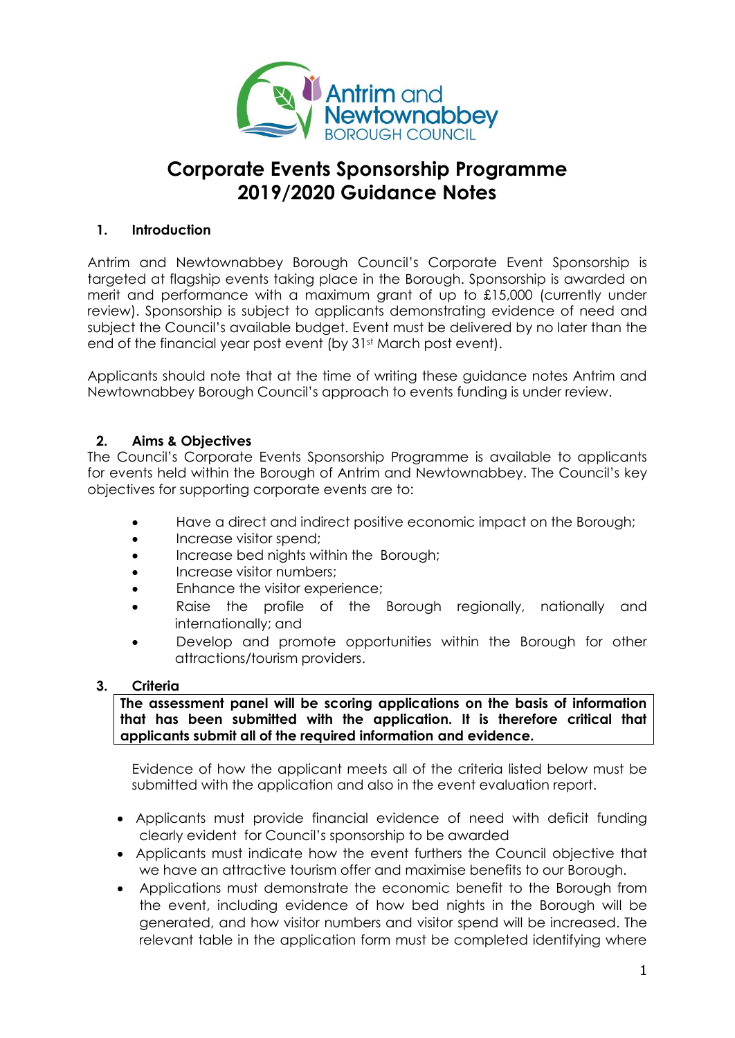

# **Corporate Events Sponsorship Programme 2019/2020 Guidance Notes**

### **1. Introduction**

Antrim and Newtownabbey Borough Council's Corporate Event Sponsorship is targeted at flagship events taking place in the Borough. Sponsorship is awarded on merit and performance with a maximum grant of up to £15,000 (currently under review). Sponsorship is subject to applicants demonstrating evidence of need and subject the Council's available budget. Event must be delivered by no later than the end of the financial year post event (by 31st March post event).

Applicants should note that at the time of writing these guidance notes Antrim and Newtownabbey Borough Council's approach to events funding is under review.

#### **2. Aims & Objectives**

The Council's Corporate Events Sponsorship Programme is available to applicants for events held within the Borough of Antrim and Newtownabbey. The Council's key objectives for supporting corporate events are to:

- Have a direct and indirect positive economic impact on the Borough;
- Increase visitor spend;
- **Increase bed nights within the Borough;**
- Increase visitor numbers;
- **Enhance the visitor experience;**
- Raise the profile of the Borough regionally, nationally and internationally; and
- Develop and promote opportunities within the Borough for other attractions/tourism providers.

#### **3. Criteria**

**The assessment panel will be scoring applications on the basis of information that has been submitted with the application. It is therefore critical that applicants submit all of the required information and evidence.**

Evidence of how the applicant meets all of the criteria listed below must be submitted with the application and also in the event evaluation report.

- Applicants must provide financial evidence of need with deficit funding clearly evident for Council's sponsorship to be awarded
- Applicants must indicate how the event furthers the Council objective that we have an attractive tourism offer and maximise benefits to our Borough.
- Applications must demonstrate the economic benefit to the Borough from the event, including evidence of how bed nights in the Borough will be generated, and how visitor numbers and visitor spend will be increased. The relevant table in the application form must be completed identifying where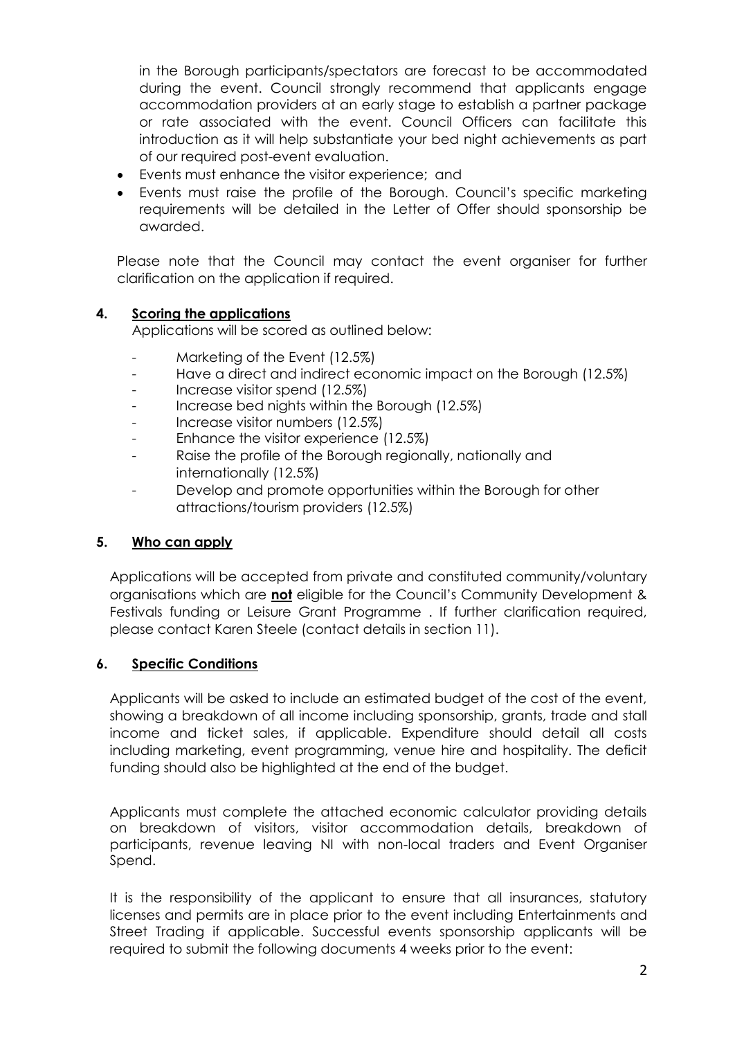in the Borough participants/spectators are forecast to be accommodated during the event. Council strongly recommend that applicants engage accommodation providers at an early stage to establish a partner package or rate associated with the event. Council Officers can facilitate this introduction as it will help substantiate your bed night achievements as part of our required post-event evaluation.

- Events must enhance the visitor experience; and
- Events must raise the profile of the Borough. Council's specific marketing requirements will be detailed in the Letter of Offer should sponsorship be awarded.

Please note that the Council may contact the event organiser for further clarification on the application if required.

#### **4. Scoring the applications**

Applications will be scored as outlined below:

- Marketing of the Event (12.5%)
- Have a direct and indirect economic impact on the Borough (12.5%)
- Increase visitor spend (12.5%)
- Increase bed nights within the Borough (12.5%)
- Increase visitor numbers (12.5%)
- Enhance the visitor experience (12.5%)
- Raise the profile of the Borough regionally, nationally and internationally (12.5%)
- Develop and promote opportunities within the Borough for other attractions/tourism providers (12.5%)

#### **5. Who can apply**

Applications will be accepted from private and constituted community/voluntary organisations which are **not** eligible for the Council's Community Development & Festivals funding or Leisure Grant Programme . If further clarification required, please contact Karen Steele (contact details in section 11).

#### **6. Specific Conditions**

Applicants will be asked to include an estimated budget of the cost of the event, showing a breakdown of all income including sponsorship, grants, trade and stall income and ticket sales, if applicable. Expenditure should detail all costs including marketing, event programming, venue hire and hospitality. The deficit funding should also be highlighted at the end of the budget.

Applicants must complete the attached economic calculator providing details on breakdown of visitors, visitor accommodation details, breakdown of participants, revenue leaving NI with non-local traders and Event Organiser Spend.

It is the responsibility of the applicant to ensure that all insurances, statutory licenses and permits are in place prior to the event including Entertainments and Street Trading if applicable. Successful events sponsorship applicants will be required to submit the following documents 4 weeks prior to the event: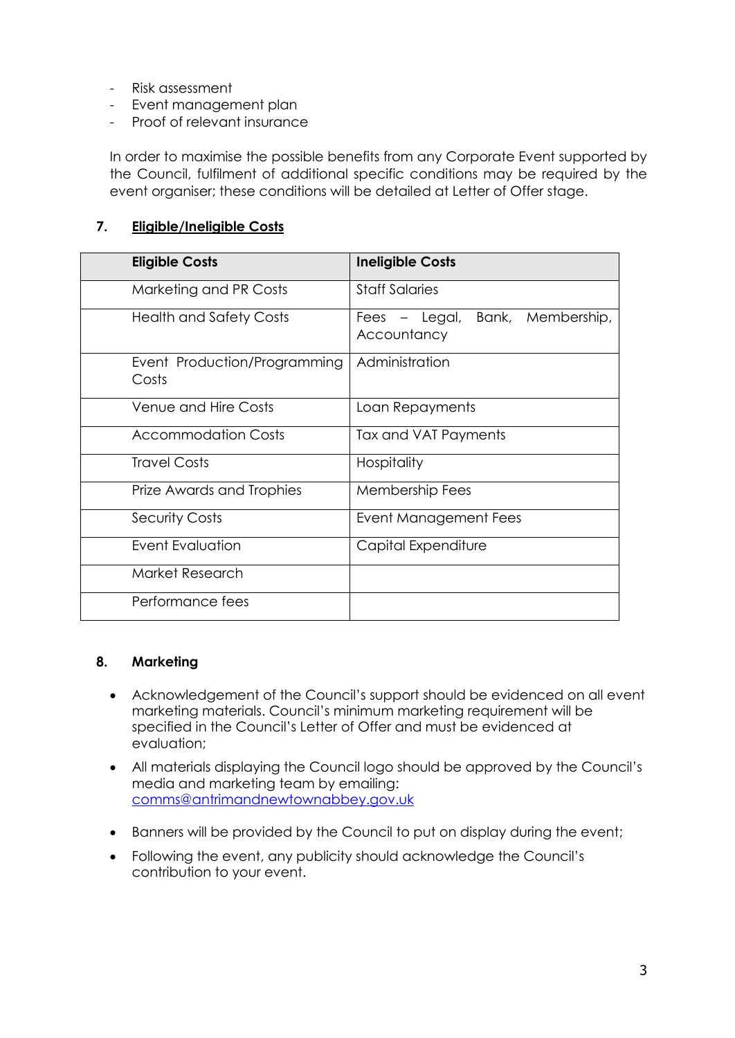- Risk assessment
- Event management plan
- Proof of relevant insurance

In order to maximise the possible benefits from any Corporate Event supported by the Council, fulfilment of additional specific conditions may be required by the event organiser; these conditions will be detailed at Letter of Offer stage.

#### **7. Eligible/Ineligible Costs**

| <b>Eligible Costs</b>                 | <b>Ineligible Costs</b>                        |
|---------------------------------------|------------------------------------------------|
| Marketing and PR Costs                | <b>Staff Salaries</b>                          |
| <b>Health and Safety Costs</b>        | Fees - Legal, Bank, Membership,<br>Accountancy |
| Event Production/Programming<br>Costs | Administration                                 |
| <b>Venue and Hire Costs</b>           | Loan Repayments                                |
| Accommodation Costs                   | Tax and VAT Payments                           |
| <b>Travel Costs</b>                   | Hospitality                                    |
| Prize Awards and Trophies             | Membership Fees                                |
| <b>Security Costs</b>                 | Event Management Fees                          |
| Event Evaluation                      | Capital Expenditure                            |
| Market Research                       |                                                |
| Performance fees                      |                                                |

#### **8. Marketing**

- Acknowledgement of the Council's support should be evidenced on all event marketing materials. Council's minimum marketing requirement will be specified in the Council's Letter of Offer and must be evidenced at evaluation;
- All materials displaying the Council logo should be approved by the Council's media and marketing team by emailing: [comms@antrimandnewtownabbey.gov.uk](mailto:comms@antrimandnewtownabbey.gov.uk)
- Banners will be provided by the Council to put on display during the event;
- Following the event, any publicity should acknowledge the Council's contribution to your event.